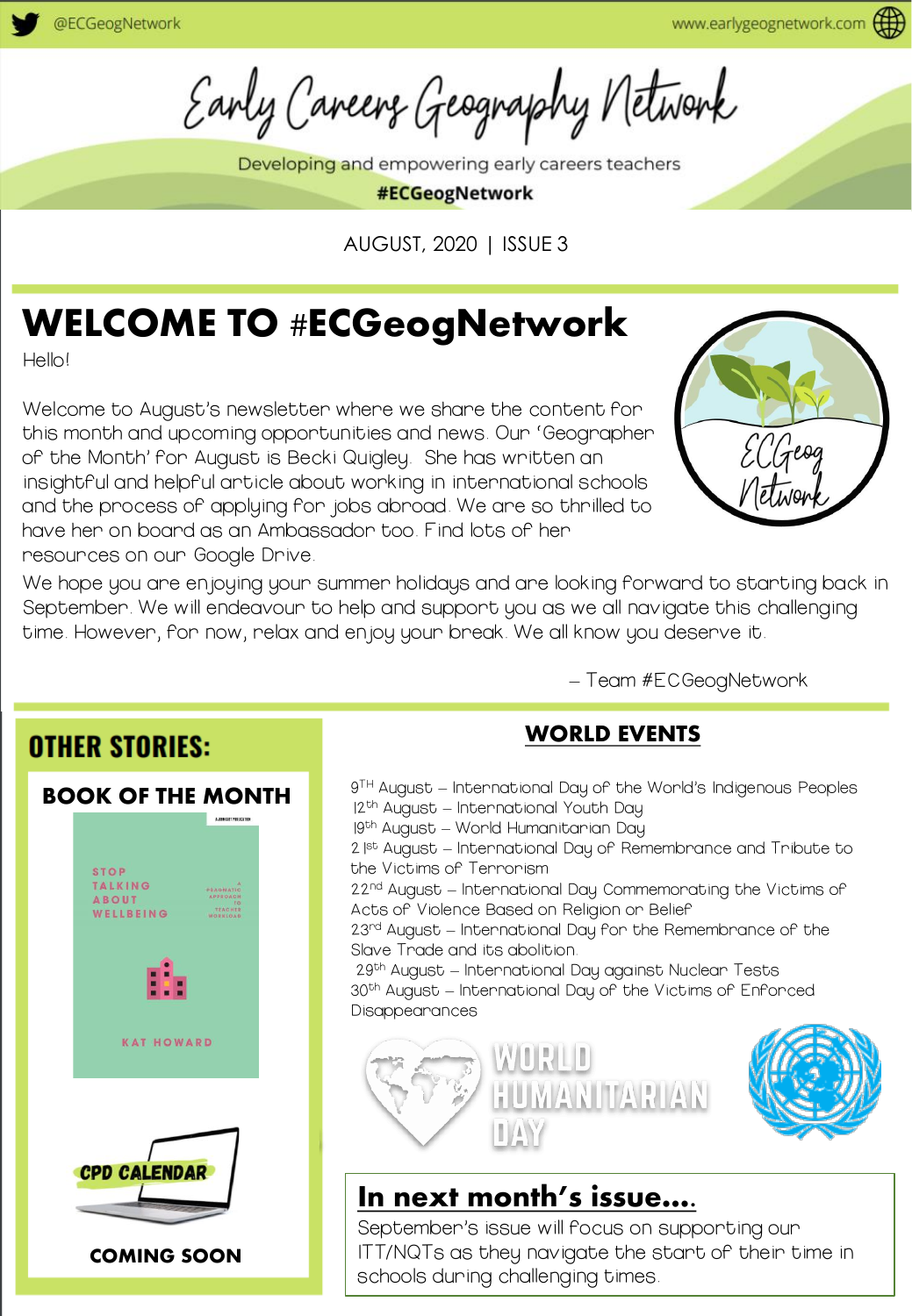Early Careers Geography Network

Developing and empowering early careers teachers

#ECGeogNetwork

AUGUST, 2020 | ISSUE 3

# WELCOME TO #ECGeogNetwork

Hello!

Welcome to August's newsletter where we share the content for this month and upcoming opportunities and news. Our 'Geographer of the Month' for August is Becki Quigley. She has written an insightful and helpful article about working in international schools and the process of applying for jobs abroad. We are so thrilled to have her on board as an Ambassador too. Find lots of her resources on our Google Drive.



We hope you are enjoying your summer holidays and are looking forward to starting back in September. We will endeavour to help and support you as we all navigate this challenging time. However, for now, relax and enjoy your break. We all know you deserve it.

– Team #ECGeogNetwork

### **OTHER STORIES:** BOOK OF THE MONTH



### WORLD EVENTS

9 TH August – International Day of the World's Indigenous Peoples 12<sup>th</sup> August – International Youth Day 19th August – World Humanitarian Day 2<sup>|st</sup> August – International Day of Remembrance and Tribute to the Victims of Terrorism 22<sup>nd</sup> August – International Day Commemorating the Victims of Acts of Violence Based on Religion or Belief 23<sup>rd</sup> August – International Day for the Remembrance of the Slave Trade and its abolition. 29th August – International Day against Nuclear Tests 30th August – International Day of the Victims of Enforced Disappearances HUMANITARIAN  $1/4$ 

### In next month's issue….

September's issue will focus on supporting our ITT/NQTs as they navigate the start of their time in schools during challenging times.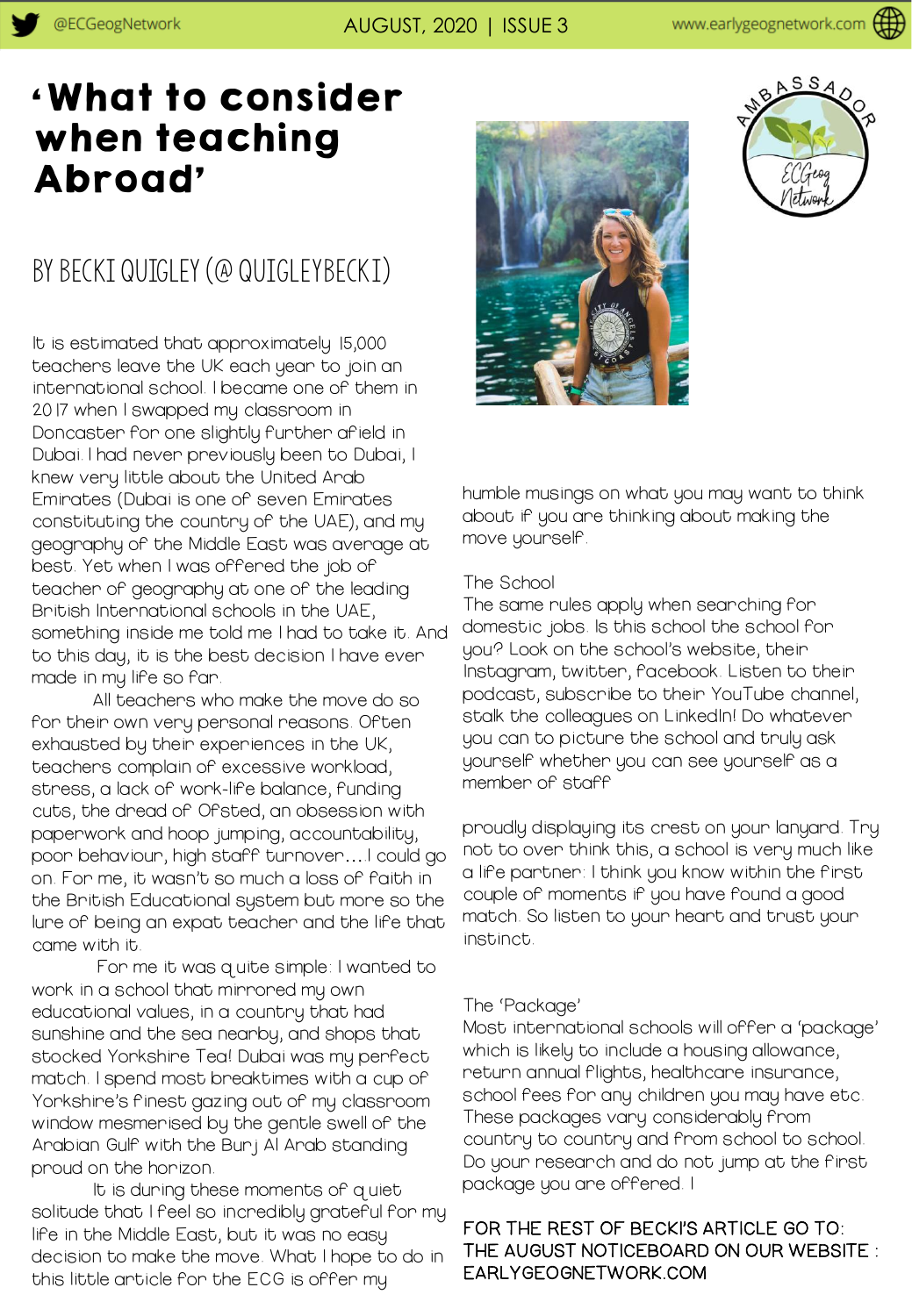# 'What to consider when teaching Abroad'

### by Becki Quigley (@ qUIGLEYbECKI)

It is estimated that approximately 15,000 teachers leave the UK each year to join an international school. I became one of them in 2017 when I swapped my classroom in Doncaster for one slightly further afield in Dubai. I had never previously been to Dubai, I knew very little about the United Arab Emirates (Dubai is one of seven Emirates constituting the country of the UAE), and my geography of the Middle East was average at best. Yet when I was offered the job of teacher of geography at one of the leading British International schools in the UAE, something inside me told me I had to take it. And to this day, it is the best decision I have ever made in my life so far.

All teachers who make the move do so for their own very personal reasons. Often exhausted by their experiences in the UK, teachers complain of excessive workload, stress, a lack of work-life balance, funding cuts, the dread of Ofsted, an obsession with paperwork and hoop jumping, accountability, poor behaviour, high staff turnover….I could go on. For me, it wasn't so much a loss of faith in the British Educational system but more so the lure of being an expat teacher and the life that came with it.

For me it was quite simple: I wanted to work in a school that mirrored my own educational values, in a country that had sunshine and the sea nearby, and shops that stocked Yorkshire Tea! Dubai was my perfect match. I spend most breaktimes with a cup of Yorkshire's finest gazing out of my classroom window mesmerised by the gentle swell of the Arabian Gulf with the Burj Al Arab standing proud on the horizon.

It is during these moments of quiet solitude that I feel so incredibly grateful for my life in the Middle East, but it was no easy decision to make the move. What I hope to do in this little article for the ECG is offer my





humble musings on what you may want to think about if you are thinking about making the move yourself.

#### The School

The same rules apply when searching for domestic jobs. Is this school the school for you? Look on the school's website, their Instagram, twitter, facebook. Listen to their podcast, subscribe to their YouTube channel, stalk the colleagues on LinkedIn! Do whatever you can to picture the school and truly ask yourself whether you can see yourself as a member of staff

proudly displaying its crest on your lanyard. Try not to over think this, a school is very much like a life partner: I think you know within the first couple of moments if you have found a good match. So listen to your heart and trust your instinct.

#### The 'Package'

Most international schools will offer a 'package' which is likely to include a housing allowance, return annual flights, healthcare insurance, school fees for any children you may have etc. These packages vary considerably from country to country and from school to school. Do your research and do not jump at the first package you are offered. I

#### FOR THE REST OF BECKI'S ARTICLE GO TO: THE AUGUST NOTICEBOARD ON OUR WEBSITE : EARLYGEOGNETWORK.COM